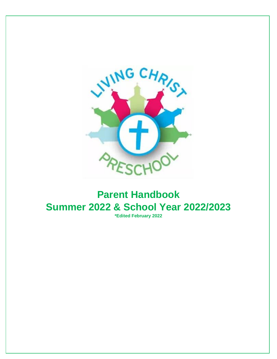

# **Parent Handbook Summer 2022 & School Year 2022/2023**

**\*Edited February 2022**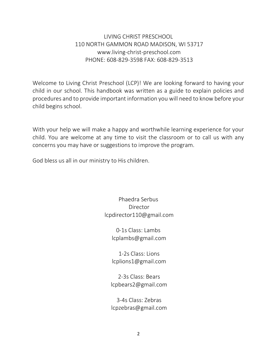LIVING CHRIST PRESCHOOL 110 NORTH GAMMON ROAD MADISON, WI 53717 www.living-christ-preschool.com PHONE: 608-829-3598 FAX: 608-829-3513

Welcome to Living Christ Preschool (LCP)! We are looking forward to having your child in our school. This handbook was written as a guide to explain policies and procedures and to provide important information you will need to know before your child begins school.

With your help we will make a happy and worthwhile learning experience for your child. You are welcome at any time to visit the classroom or to call us with any concerns you may have or suggestions to improve the program.

God bless us all in our ministry to His children.

Phaedra Serbus Director [lcpdirector110@gmail.com](mailto:lcpdirector110@gmail.com)

> 0-1s Class: Lambs [lcplambs@gmail.com](mailto:lcplambs@gmail.com)

> 1-2s Class: Lions [lcplions1@gmail.com](mailto:lcplions1@gmail.com)

2-3s Class: Bears [lcpbears2@gmail.com](mailto:lcpbears2@gmail.com)

3-4s Class: Zebras [lcpzebras@gmail.com](mailto:lcpzebras@gmail.com)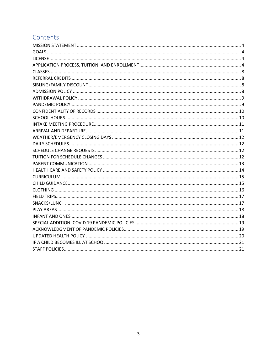# Contents

<span id="page-2-0"></span>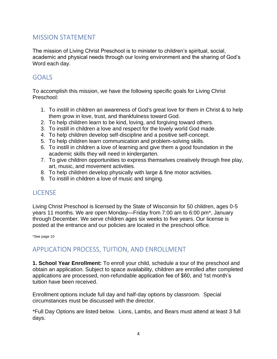### MISSION STATEMENT

The mission of Living Christ Preschool is to minister to children's spiritual, social, academic and physical needs through our loving environment and the sharing of God's Word each day.

#### <span id="page-3-0"></span>GOALS

To accomplish this mission, we have the following specific goals for Living Christ Preschool:

- 1. To instill in children an awareness of God's great love for them in Christ & to help them grow in love, trust, and thankfulness toward God.
- 2. To help children learn to be kind, loving, and forgiving toward others.
- 3. To instill in children a love and respect for the lovely world God made.
- 4. To help children develop self-discipline and a positive self-concept.
- 5. To help children learn communication and problem-solving skills.
- 6. To instill in children a love of learning and give them a good foundation in the academic skills they will need in kindergarten.
- 7. To give children opportunities to express themselves creatively through free play, art, music, and movement activities.
- 8. To help children develop physically with large & fine motor activities.
- 9. To instill in children a love of music and singing.

# <span id="page-3-1"></span>**LICENSE**

Living Christ Preschool is licensed by the State of Wisconsin for 50 children, ages 0-5 years 11 months. We are open Monday—Friday from 7:00 am to 6:00 pm\*, January through December. We serve children ages six weeks to five years. Our license is posted at the entrance and our policies are located in the preschool office.

\*See page 10

# <span id="page-3-2"></span>APPLICATION PROCESS, TUITION, AND ENROLLMENT

**1. School Year Enrollment:** To enroll your child, schedule a tour of the preschool and obtain an application. Subject to space availability, children are enrolled after completed applications are processed, non-refundable application fee of \$60, and 1st month's tuition have been received.

Enrollment options include full day and half-day options by classroom. Special circumstances must be discussed with the director.

\*Full Day Options are listed below. Lions, Lambs, and Bears must attend at least 3 full days.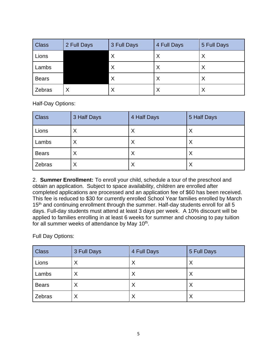| <b>Class</b> | 2 Full Days | 3 Full Days | 4 Full Days | 5 Full Days |
|--------------|-------------|-------------|-------------|-------------|
| Lions        |             | $\times$    | X           | Χ           |
| Lambs        |             | $\times$    | X           | Χ           |
| <b>Bears</b> |             | X           | X           | Χ           |
| Zebras       | X           | X           | X           | Χ           |

Half-Day Options:

| <b>Class</b> | 3 Half Days | 4 Half Days | 5 Half Days |
|--------------|-------------|-------------|-------------|
| Lions        | ⋏           | X           | X           |
| Lambs        | х           | X           | X           |
| <b>Bears</b> | Χ           | X           | X           |
| Zebras       | Х           | X           | X           |

2. **Summer Enrollment:** To enroll your child, schedule a tour of the preschool and obtain an application. Subject to space availability, children are enrolled after completed applications are processed and an application fee of \$60 has been received. This fee is reduced to \$30 for currently enrolled School Year families enrolled by March 15<sup>th</sup> and continuing enrollment through the summer. Half-day students enroll for all 5 days. Full-day students must attend at least 3 days per week. A 10% discount will be applied to families enrolling in at least 6 weeks for summer and choosing to pay tuition for all summer weeks of attendance by May 10<sup>th</sup>.

Full Day Options:

| <b>Class</b> | 3 Full Days | 4 Full Days | 5 Full Days |
|--------------|-------------|-------------|-------------|
| Lions        | X           | Χ           | X           |
| Lambs        | $\times$    | Χ           | X           |
| <b>Bears</b> | $\times$    | Χ           | X           |
| Zebras       | Χ           | Χ           | X           |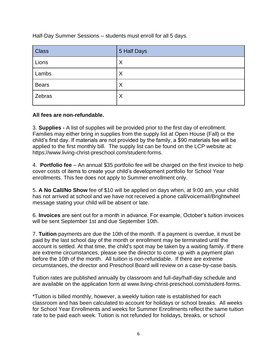Half-Day Summer Sessions – students must enroll for all 5 days.

| <b>Class</b> | 5 Half Days |
|--------------|-------------|
| Lions        | Χ           |
| Lambs        | Χ           |
| <b>Bears</b> | Χ           |
| Zebras       | X           |

#### **All fees are non-refundable.**

3. **Supplies -** A list of supplies will be provided prior to the first day of enrollment. Families may either bring in supplies from the supply list at Open House (Fall) or the child's first day. If materials are not provided by the family, a \$90 materials fee will be applied to the first monthly bill. The supply list can be found on the LCP website at: https://www.living-christ-preschool.com/student-forms.

4. **Portfolio fee** – An annual \$35 portfolio fee will be charged on the first invoice to help cover costs of items to create your child's development portfolio for School Year enrollments. This fee does not apply to Summer enrollment only.

5. **A No Call/No Show** fee of \$10 will be applied on days when, at 9:00 am, your child has not arrived at school and we have not received a phone call/voicemail/Brightwheel message stating your child will be absent or late.

6. **Invoices** are sent out for a month in advance. For example, October's tuition invoices will be sent September 1st and due September 10th.

7. **Tuition** payments are due the 10th of the month. If a payment is overdue, it must be paid by the last school day of the month or enrollment may be terminated until the account is settled. At that time, the child's spot may be taken by a waiting family. If there are extreme circumstances, please see the director to come up with a payment plan before the 10th of the month. All tuition is non-refundable. If there are extreme circumstances, the director and Preschool Board will review on a case-by-case basis.

Tuition rates are published annually by classroom and full-day/half-day schedule and are available on the application form at www.living-christ-preschool.com/student-forms.

\*Tuition is billed monthly, however, a weekly tuition rate is established for each classroom and has been calculated to account for holidays or school breaks. All weeks for School Year Enrollments and weeks for Summer Enrollments reflect the same tuition rate to be paid each week. Tuition is not refunded for holidays, breaks, or school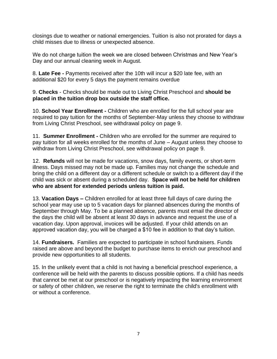closings due to weather or national emergencies. Tuition is also not prorated for days a child misses due to illness or unexpected absence.

We do not charge tuition the week we are closed between Christmas and New Year's Day and our annual cleaning week in August.

8. **Late Fee -** Payments received after the 10th will incur a \$20 late fee, with an additional \$20 for every 5 days the payment remains overdue

9. **Checks** - Checks should be made out to Living Christ Preschool and **should be placed in the tuition drop box outside the staff office.** 

10. **School Year Enrollment -** Children who are enrolled for the full school year are required to pay tuition for the months of September-May unless they choose to withdraw from Living Christ Preschool, see withdrawal policy on page 9.

11. **Summer Enrollment -** Children who are enrolled for the summer are required to pay tuition for all weeks enrolled for the months of June – August unless they choose to withdraw from Living Christ Preschool, see withdrawal policy on page 9.

12. **Refunds** will not be made for vacations, snow days, family events, or short-term illness. Days missed may not be made up. Families may not change the schedule and bring the child on a different day or a different schedule or switch to a different day if the child was sick or absent during a scheduled day. **Space will not be held for children who are absent for extended periods unless tuition is paid.**

13. **Vacation Days –** Children enrolled for at least three full days of care during the school year may use up to 5 vacation days for planned absences during the months of September through May. To be a planned absence, parents must email the director of the days the child will be absent at least 30 days in advance and request the use of a vacation day. Upon approval, invoices will be adjusted. If your child attends on an approved vacation day, you will be charged a \$10 fee in addition to that day's tuition.

14. **Fundraisers.** Families are expected to participate in school fundraisers. Funds raised are above and beyond the budget to purchase items to enrich our preschool and provide new opportunities to all students.

15. In the unlikely event that a child is not having a beneficial preschool experience, a conference will be held with the parents to discuss possible options. If a child has needs that cannot be met at our preschool or is negatively impacting the learning environment or safety of other children, we reserve the right to terminate the child's enrollment with or without a conference.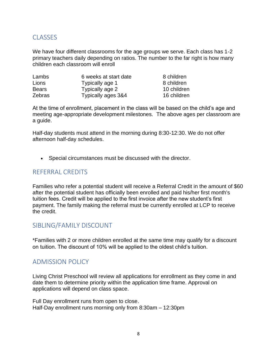### <span id="page-7-0"></span>**CLASSES**

We have four different classrooms for the age groups we serve. Each class has 1-2 primary teachers daily depending on ratios. The number to the far right is how many children each classroom will enroll

| Lambs         | 6 weeks at start date | 8 children  |
|---------------|-----------------------|-------------|
| Lions         | Typically age 1       | 8 children  |
| <b>Bears</b>  | Typically age 2       | 10 children |
| <b>Zebras</b> | Typically ages 3&4    | 16 children |

At the time of enrollment, placement in the class will be based on the child's age and meeting age-appropriate development milestones. The above ages per classroom are a guide.

Half-day students must attend in the morning during 8:30-12:30. We do not offer afternoon half-day schedules.

• Special circumstances must be discussed with the director.

#### <span id="page-7-1"></span>REFERRAL CREDITS

Families who refer a potential student will receive a Referral Credit in the amount of \$60 after the potential student has officially been enrolled and paid his/her first month's tuition fees. Credit will be applied to the first invoice after the new student's first payment. The family making the referral must be currently enrolled at LCP to receive the credit.

#### <span id="page-7-2"></span>SIBLING/FAMILY DISCOUNT

\*Families with 2 or more children enrolled at the same time may qualify for a discount on tuition. The discount of 10% will be applied to the oldest child's tuition.

#### <span id="page-7-3"></span>ADMISSION POLICY

Living Christ Preschool will review all applications for enrollment as they come in and date them to determine priority within the application time frame. Approval on applications will depend on class space.

Full Day enrollment runs from open to close. Half-Day enrollment runs morning only from 8:30am – 12:30pm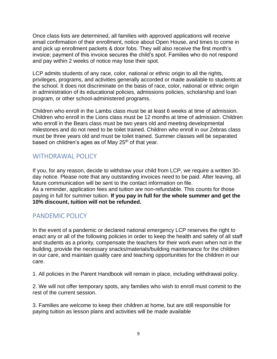Once class lists are determined, all families with approved applications will receive email confirmation of their enrollment, notice about Open House, and times to come in and pick up enrollment packets & door fobs. They will also receive the first month's invoice; payment of this invoice secures the child's spot. Families who do not respond and pay within 2 weeks of notice may lose their spot.

LCP admits students of any race, color, national or ethnic origin to all the rights, privileges, programs, and activities generally accorded or made available to students at the school. It does not discriminate on the basis of race, color, national or ethnic origin in administration of its educational policies, admissions policies, scholarship and loan program, or other school-administered programs.

Children who enroll in the Lambs class must be at least 6 weeks at time of admission. Children who enroll in the Lions class must be 12 months at time of admission. Children who enroll in the Bears class must be two years old and meeting developmental milestones and do not need to be toilet trained. Children who enroll in our Zebras class must be three years old and must be toilet trained. Summer classes will be separated based on children's ages as of May  $25<sup>th</sup>$  of that year.

### <span id="page-8-0"></span>WITHDRAWAL POLICY

If you, for any reason, decide to withdraw your child from LCP, we require a written 30 day notice. Please note that any outstanding invoices need to be paid. After leaving, all future communication will be sent to the contact information on file. As a reminder, application fees and tuition are non-refundable. This counts for those paying in full for summer tuition. **If you pay in full for the whole summer and get the 10% discount, tuition will not be refunded.**

#### <span id="page-8-1"></span>PANDEMIC POLICY

In the event of a pandemic or declared national emergency LCP reserves the right to enact any or all of the following policies in order to keep the health and safety of all staff and students as a priority, compensate the teachers for their work even when not in the building, provide the necessary snacks/materials/building maintenance for the children in our care, and maintain quality care and teaching opportunities for the children in our care.

1. All policies in the Parent Handbook will remain in place, including withdrawal policy.

2. We will not offer temporary spots, any families who wish to enroll must commit to the rest of the current session.

3. Families are welcome to keep their children at home, but are still responsible for paying tuition as lesson plans and activities will be made available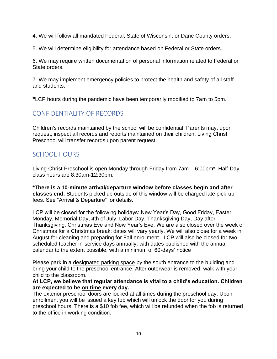4. We will follow all mandated Federal, State of Wisconsin, or Dane County orders.

5. We will determine eligibility for attendance based on Federal or State orders.

6. We may require written documentation of personal information related to Federal or State orders.

7. We may implement emergency policies to protect the health and safety of all staff and students.

**\***LCP hours during the pandemic have been temporarily modified to 7am to 5pm.

# <span id="page-9-0"></span>CONFIDENTIALITY OF RECORDS

Children's records maintained by the school will be confidential. Parents may, upon request, inspect all records and reports maintained on their children. Living Christ Preschool will transfer records upon parent request.

### <span id="page-9-1"></span>SCHOOL HOURS

Living Christ Preschool is open Monday through Friday from 7am – 6:00pm\*. Half-Day class hours are 8:30am-12:30pm.

**\*There is a 10-minute arrival/departure window before classes begin and after classes end.** Students picked up outside of this window will be charged late pick-up fees. See "Arrival & Departure" for details.

LCP will be closed for the following holidays: New Year's Day, Good Friday, Easter Monday, Memorial Day, 4th of July, Labor Day, Thanksgiving Day, Day after Thanksgiving, Christmas Eve and New Year's Eve. We are also closed over the week of Christmas for a Christmas break; dates will vary yearly. We will also close for a week in August for cleaning and preparing for Fall enrollment. LCP will also be closed for two scheduled teacher in-service days annually, with dates published with the annual calendar to the extent possible, with a minimum of 60-days' notice

Please park in a designated parking space by the south entrance to the building and bring your child to the preschool entrance. After outerwear is removed, walk with your child to the classroom.

#### **At LCP, we believe that regular attendance is vital to a child's education. Children are expected to be on time every day.**

The exterior preschool doors are locked at all times during the preschool day. Upon enrollment you will be issued a key fob which will unlock the door for you during preschool hours. There is a \$10 fob fee, which will be refunded when the fob is returned to the office in working condition.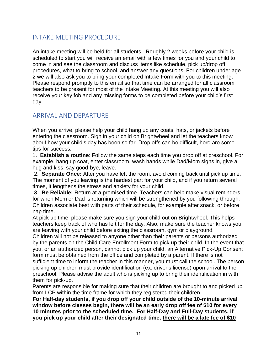# <span id="page-10-0"></span>INTAKE MEETING PROCEDURE

An intake meeting will be held for all students. Roughly 2 weeks before your child is scheduled to start you will receive an email with a few times for you and your child to come in and see the classroom and discuss items like schedule, pick up/drop off procedures, what to bring to school, and answer any questions. For children under age 2 we will also ask you to bring your completed Intake Form with you to this meeting. Please respond promptly to this email so that time can be arranged for all classroom teachers to be present for most of the Intake Meeting. At this meeting you will also receive your key fob and any missing forms to be completed before your child's first day.

# <span id="page-10-1"></span>ARRIVAL AND DEPARTURE

When you arrive, please help your child hang up any coats, hats, or jackets before entering the classroom. Sign in your child on Brightwheel and let the teachers know about how your child's day has been so far. Drop offs can be difficult, here are some tips for success:

1. **Establish a routine**: Follow the same steps each time you drop off at preschool. For example, hang up coat, enter classroom, wash hands while Dad/Mom signs in, give a hug and kiss, say good-bye, leave.

2. **Separate Once:** After you have left the room, avoid coming back until pick up time. The moment of you leaving is the hardest part for your child, and if you return several times, it lengthens the stress and anxiety for your child.

3. **Be Reliable:** Return at a promised time. Teachers can help make visual reminders for when Mom or Dad is returning which will be strengthened by you following through. Children associate best with parts of their schedule, for example after snack, or before nap time.

At pick up time, please make sure you sign your child out on Brightwheel. This helps teachers keep track of who has left for the day. Also, make sure the teacher knows you are leaving with your child before exiting the classroom, gym or playground.

Children will not be released to anyone other than their parents or persons authorized by the parents on the Child Care Enrollment Form to pick up their child. In the event that you, or an authorized person, cannot pick up your child, an Alternative Pick-Up Consent form must be obtained from the office and completed by a parent. If there is not sufficient time to inform the teacher in this manner, you must call the school. The person picking up children must provide identification (ex. driver's license) upon arrival to the preschool. Please advise the adult who is picking up to bring their identification in with them for pick-up.

Parents are responsible for making sure that their children are brought to and picked up from LCP within the time frame for which they registered their children.

**For Half-day students, if you drop off your child outside of the 10-minute arrival window before classes begin, there will be an early drop off fee of \$10 for every 10 minutes prior to the scheduled time. For Half-Day and Full-Day students, if you pick up your child after their designated time, there will be a late fee of \$10**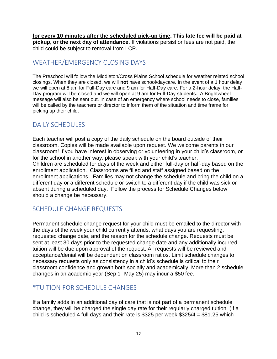**for every 10 minutes after the scheduled pick-up time. This late fee will be paid at pickup, or the next day of attendance.** If violations persist or fees are not paid, the child could be subject to removal from LCP.

# <span id="page-11-0"></span>WEATHER/EMERGENCY CLOSING DAYS

The Preschool will follow the Middleton/Cross Plains School schedule for weather related school closings. When they are closed, we will **not** have school/daycare. In the event of a 1 hour delay we will open at 8 am for Full-Day care and 9 am for Half-Day care. For a 2-hour delay, the Half-Day program will be closed and we will open at 9 am for Full-Day students. A Brightwheel message will also be sent out. In case of an emergency where school needs to close, families will be called by the teachers or director to inform them of the situation and time frame for picking up their child.

### <span id="page-11-1"></span>DAILY SCHEDULES

Each teacher will post a copy of the daily schedule on the board outside of their classroom. Copies will be made available upon request. We welcome parents in our classroom! If you have interest in observing or volunteering in your child's classroom, or for the school in another way, please speak with your child's teacher. Children are scheduled for days of the week and either full-day or half-day based on the enrollment application. Classrooms are filled and staff assigned based on the enrollment applications. Families may not change the schedule and bring the child on a different day or a different schedule or switch to a different day if the child was sick or absent during a scheduled day. Follow the process for Schedule Changes below should a change be necessary.

# <span id="page-11-2"></span>SCHEDULE CHANGE REQUESTS

Permanent schedule change request for your child must be emailed to the director with the days of the week your child currently attends, what days you are requesting, requested change date, and the reason for the schedule change. Requests must be sent at least 30 days prior to the requested change date and any additionally incurred tuition will be due upon approval of the request. All requests will be reviewed and acceptance/denial will be dependent on classroom ratios. Limit schedule changes to necessary requests only as consistency in a child's schedule is critical to their classroom confidence and growth both socially and academically. More than 2 schedule changes in an academic year (Sep 1- May 25) may incur a \$50 fee.

# <span id="page-11-3"></span>\*TUITION FOR SCHEDULE CHANGES

If a family adds in an additional day of care that is not part of a permanent schedule change, they will be charged the single day rate for their regularly charged tuition. (If a child is scheduled 4 full days and their rate is \$325 per week  $$325/4 = $81.25$  which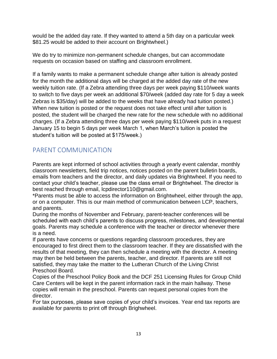would be the added day rate. If they wanted to attend a 5th day on a particular week \$81.25 would be added to their account on Brightwheel.)

We do try to minimize non-permanent schedule changes, but can accommodate requests on occasion based on staffing and classroom enrollment.

If a family wants to make a permanent schedule change after tuition is already posted for the month the additional days will be charged at the added day rate of the new weekly tuition rate. (If a Zebra attending three days per week paying \$110/week wants to switch to five days per week an additional \$70/week (added day rate for 5 day a week Zebras is \$35/day) will be added to the weeks that have already had tuition posted.) When new tuition is posted or the request does not take effect until after tuition is posted, the student will be charged the new rate for the new schedule with no additional charges. (If a Zebra attending three days per week paying \$110/week puts in a request January 15 to begin 5 days per week March 1, when March's tuition is posted the student's tuition will be posted at \$175/week.)

# <span id="page-12-0"></span>PARENT COMMUNICATION

Parents are kept informed of school activities through a yearly event calendar, monthly classroom newsletters, field trip notices, notices posted on the parent bulletin boards, emails from teachers and the director, and daily updates via Brightwheel. If you need to contact your child's teacher, please use the class email or Brightwheel. The director is best reached through email, lcpdirector110@gmail.com.

\*Parents must be able to access the information on Brightwheel, either through the app, or on a computer. This is our main method of communication between LCP, teachers, and parents.

During the months of November and February, parent-teacher conferences will be scheduled with each child's parents to discuss progress, milestones, and developmental goals. Parents may schedule a conference with the teacher or director whenever there is a need.

If parents have concerns or questions regarding classroom procedures, they are encouraged to first direct them to the classroom teacher. If they are dissatisfied with the results of that meeting, they can then schedule a meeting with the director. A meeting may then be held between the parents, teacher, and director. If parents are still not satisfied, they may take the matter to the Lutheran Church of the Living Christ Preschool Board.

Copies of the Preschool Policy Book and the DCF 251 Licensing Rules for Group Child Care Centers will be kept in the parent information rack in the main hallway. These copies will remain in the preschool. Parents can request personal copies from the director.

For tax purposes, please save copies of your child's invoices. Year end tax reports are available for parents to print off through Brighwheel.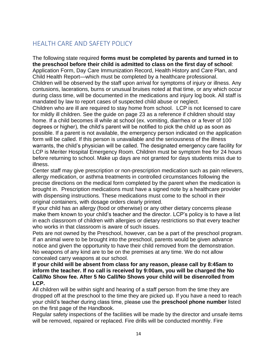# <span id="page-13-0"></span>HEALTH CARE AND SAFETY POLICY

The following state required **forms must be completed by parents and turned in to the preschool before their child is admitted to class on the first day of school**: Application Form, Day Care Immunization Record, Health History and Care Plan, and Child Health Report—which must be completed by a healthcare professional. Children will be observed by the staff upon arrival for symptoms of injury or illness. Any

contusions, lacerations, burns or unusual bruises noted at that time, or any which occur during class time, will be documented in the medications and injury log book. All staff is mandated by law to report cases of suspected child abuse or neglect.

Children who are ill are required to stay home from school. LCP is not licensed to care for mildly ill children. See the guide on page 23 as a reference if children should stay home. If a child becomes ill while at school (ex. vomiting, diarrhea or a fever of 100 degrees or higher), the child's parent will be notified to pick the child up as soon as possible. If a parent is not available, the emergency person indicated on the application form will be called. If this person is unavailable and the seriousness of the illness warrants, the child's physician will be called. The designated emergency care facility for LCP is Meriter Hospital Emergency Room. Children must be symptom free for 24 hours before returning to school. Make up days are not granted for days students miss due to illness.

Center staff may give prescription or non-prescription medication such as pain relievers, allergy medication, or asthma treatments in controlled circumstances following the precise directions on the medical form completed by the parent when the medication is brought in. Prescription medications must have a signed note by a healthcare provider with dispensing instructions. These medications must come to the school in their original containers, with dosage orders clearly printed.

If your child has an allergy (food or otherwise) or any other dietary concerns please make them known to your child's teacher and the director. LCP's policy is to have a list in each classroom of children with allergies or dietary restrictions so that every teacher who works in that classroom is aware of such issues.

Pets are not owned by the Preschool, however, can be a part of the preschool program. If an animal were to be brought into the preschool, parents would be given advance notice and given the opportunity to have their child removed from the demonstration. No weapons of any kind are to be on the premises at any time. We do not allow concealed carry weapons at our school.

#### **If your child will be absent from class for any reason, please call by 8:45am to inform the teacher. If no call is received by 9:00am, you will be charged the No Call/No Show fee. After 5 No Call/No Shows your child will be disenrolled from LCP.**

All children will be within sight and hearing of a staff person from the time they are dropped off at the preschool to the time they are picked up. If you have a need to reach your child's teacher during class time, please use the **preschool phone number** listed on the first page of the Handbook.

Regular safety inspections of the facilities will be made by the director and unsafe items will be removed, repaired or replaced. Fire drills will be conducted monthly. Fire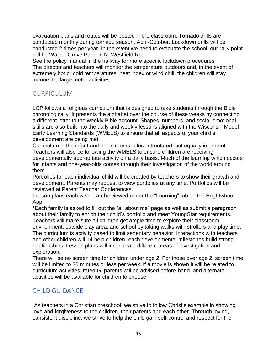evacuation plans and routes will be posted in the classroom. Tornado drills are conducted monthly during tornado season, April-October. Lockdown drills will be conducted 2 times per year. In the event we need to evacuate the school, our rally point will be Walnut Grove Park on N. Westfield Rd,

See the policy manual in the hallway for more specific lockdown procedures. The director and teachers will monitor the temperature outdoors and, in the event of extremely hot or cold temperatures, heat index or wind chill, the children will stay indoors for large motor activities.

# <span id="page-14-0"></span>CURRICULUM

LCP follows a religious curriculum that is designed to take students through the Bible chronologically. It presents the alphabet over the course of these weeks by connecting a different letter to the weekly Bible account. Shapes, numbers, and social-emotional skills are also built into the daily and weekly lessons aligned with the Wisconsin Model Early Learning Standards (WMELS) to ensure that all aspects of your child's development are being met.

Curriculum in the infant and one's rooms is less structured, but equally important. Teachers will also be following the WMELS to ensure children are receiving developmentally appropriate activity on a daily basis. Much of the learning which occurs for infants and one-year-olds comes through their investigation of the world around them.

Portfolios for each individual child will be created by teachers to show their growth and development. Parents may request to view portfolios at any time. Portfolios will be reviewed at Parent Teacher Conferences.

Lesson plans each week can be viewed under the "Learning" tab on the Brightwheel App.

\*Each family is asked to fill out the "all about me" page as well as submit a paragraph about their family to enrich their child's portfolio and meet YoungStar requirements. Teachers will make sure all children get ample time to explore their classroom environment, outside play area, and school by taking walks with strollers and play time. The curriculum is activity based to limit sedentary behavior. Interactions with teachers and other children will 14 help children reach developmental milestones build strong relationships. Lesson plans will incorporate different areas of investigation and exploration.

There will be no screen time for children under age 2. For those over age 2, screen time will be limited to 30 minutes or less per week. If a movie is shown it will be related to curriculum activities, rated G, parents will be advised before-hand, and alternate activities will be available for children to choose.

# <span id="page-14-1"></span>CHILD GUIDANCE

As teachers in a Christian preschool, we strive to follow Christ's example in showing love and forgiveness to the children, their parents and each other. Through loving, consistent discipline, we strive to help the child gain self-control and respect for the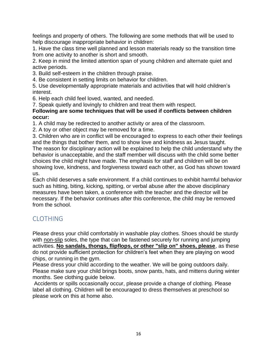feelings and property of others. The following are some methods that will be used to help discourage inappropriate behavior in children:

1. Have the class time well planned and lesson materials ready so the transition time from one activity to another is short and smooth.

2. Keep in mind the limited attention span of young children and alternate quiet and active periods.

3. Build self-esteem in the children through praise.

4. Be consistent in setting limits on behavior for children.

5. Use developmentally appropriate materials and activities that will hold children's interest.

6. Help each child feel loved, wanted, and needed.

7. Speak quietly and lovingly to children and treat them with respect.

#### **Following are some techniques that will be used if conflicts between children occur:**

1. A child may be redirected to another activity or area of the classroom.

2. A toy or other object may be removed for a time.

3. Children who are in conflict will be encouraged to express to each other their feelings and the things that bother them, and to show love and kindness as Jesus taught. The reason for disciplinary action will be explained to help the child understand why the behavior is unacceptable, and the staff member will discuss with the child some better choices the child might have made. The emphasis for staff and children will be on showing love, kindness, and forgiveness toward each other, as God has shown toward us.

Each child deserves a safe environment. If a child continues to exhibit harmful behavior such as hitting, biting, kicking, spitting, or verbal abuse after the above disciplinary measures have been taken, a conference with the teacher and the director will be necessary. If the behavior continues after this conference, the child may be removed from the school.

# <span id="page-15-0"></span>CLOTHING

Please dress your child comfortably in washable play clothes. Shoes should be sturdy with non-slip soles, the type that can be fastened securely for running and jumping activities. **No sandals, thongs, flipflops, or other "slip on" shoes, please**, as these do not provide sufficient protection for children's feet when they are playing on wood chips, or running in the gym.

Please dress your child according to the weather. We will be going outdoors daily. Please make sure your child brings boots, snow pants, hats, and mittens during winter months. See clothing guide below.

Accidents or spills occasionally occur, please provide a change of clothing. Please label all clothing. Children will be encouraged to dress themselves at preschool so please work on this at home also.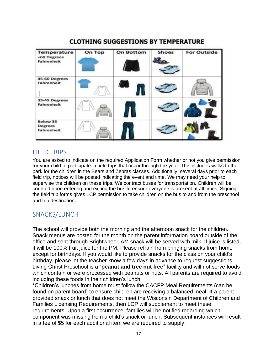#### **For Outside** On Top **On Bottom Temperature Shoes** +60 Degrees **Fahrenheit 45-60 Degrees Fahrenheit** 35-45 Degrees **Fahrenheit** Below 35 **Degrees Fahrenheit**

# **CLOTHING SUGGESTIONS BY TEMPERATURE**

# <span id="page-16-0"></span>FIELD TRIPS

You are asked to indicate on the required Application Form whether or not you give permission for your child to participate in field trips that occur through the year. This includes walks to the park for the children in the Bears and Zebras classes. Additionally, several days prior to each field trip, notices will be posted indicating the event and time. We may need your help to supervise the children on these trips. We contract buses for transportation. Children will be counted upon entering and exiting the bus to ensure everyone is present at all times. Signing the field trip forms gives LCP permission to take children on the bus to and from the preschool and trip destination.

# <span id="page-16-1"></span>SNACKS/LUNCH

The school will provide both the morning and the afternoon snack for the children. Snack menus are posted for the month on the parent information board outside of the office and sent through Brightwheel. AM snack will be served with milk. If juice is listed, it will be 100% fruit juice for the PM. Please refrain from bringing snacks from home except for birthdays. If you would like to provide snacks for the class on your child's birthday, please let the teacher know a few days in advance to request suggestions. Living Christ Preschool is a "**peanut and tree nut free**" facility and will not serve foods which contain or were processed with peanuts or nuts. All parents are required to avoid including these foods in their children's lunch.

\*Children's lunches from home must follow the CACFP Meal Requirements (can be found on parent board) to ensure children are receiving a balanced meal. If a parent provided snack or lunch that does not meet the Wisconsin Department of Children and Families Licensing Requirements, then LCP will supplement to meet these requirements. Upon a first occurrence, families will be notified regarding which component was missing from a child's snack or lunch. Subsequent instances will result in a fee of \$5 for each additional item we are required to supply.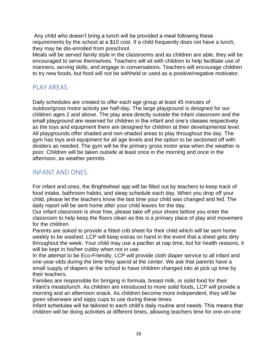Any child who doesn't bring a lunch will be provided a meal following these requirements by the school at a \$10 cost. If a child frequently does not have a lunch, they may be dis-enrolled from preschool.

Meals will be served family style in the classrooms and as children are able, they will be encouraged to serve themselves. Teachers will sit with children to help facilitate use of manners, serving skills, and engage in conversations. Teachers will encourage children to try new foods, but food will not be withheld or used as a positive/negative motivator.

# <span id="page-17-0"></span>PLAY AREAS

Daily schedules are created to offer each age group at least 45 minutes of outdoor/gross motor activity per half-day. The large playground is designed for our children ages 2 and above. The play area directly outside the infant classroom and the small playground are reserved for children in the infant and one's classes respectively as the toys and equipment there are designed for children at their developmental level. All playgrounds offer shaded and non-shaded areas to play throughout the day. The gym has toys and equipment for all age levels and the option to be sectioned off with dividers as needed. The gym will be the primary gross motor area when the weather is poor. Children will be taken outside at least once in the morning and once in the afternoon, as weather permits.

### <span id="page-17-1"></span>INFANT AND ONES

For infant and ones, the Brightwheel app will be filled out by teachers to keep track of food intake, bathroom habits, and sleep schedule each day. When you drop off your child, please let the teachers know the last time your child was changed and fed. The daily report will be sent home after your child leaves for the day.

Our infant classroom is shoe free, please take off your shoes before you enter the classroom to help keep the floors clean as this is a primary place of play and movement for the children.

Parents are asked to provide a fitted crib sheet for their child which will be sent home weekly to be washed. LCP will keep extras on hand in the event that a sheet gets dirty throughout the week. Your child may use a pacifier at nap time, but for health reasons, it will be kept in his/her cubby when not in use.

In the attempt to be Eco-Friendly, LCP will provide cloth diaper service to all infant and one-year-olds during the time they spend at the center. We ask that parents have a small supply of diapers at the school to have children changed into at pick up time by their teachers.

Families are responsible for bringing in formula, breast milk, or solid food for their infant's meals/lunch. As children are introduced to more solid foods, LCP will provide a morning and an afternoon snack. As children become more independent, they will be given silverware and sippy cups to use during these times.

Infant schedules will be tailored to each child's daily routine and needs. This means that children will be doing activities at different times, allowing teachers time for one-on-one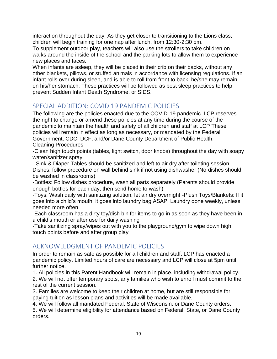interaction throughout the day. As they get closer to transitioning to the Lions class, children will begin training for one nap after lunch, from 12:30-2:30 pm.

To supplement outdoor play, teachers will also use the strollers to take children on walks around the inside of the school and the parking lots to allow them to experience new places and faces.

When infants are asleep, they will be placed in their crib on their backs, without any other blankets, pillows, or stuffed animals in accordance with licensing regulations. If an infant rolls over during sleep, and is able to roll from front to back, he/she may remain on his/her stomach. These practices will be followed as best sleep practices to help prevent Sudden Infant Death Syndrome, or SIDS.

# <span id="page-18-0"></span>SPECIAL ADDITION: COVID 19 PANDEMIC POLICIES

The following are the policies enacted due to the COVID-19 pandemic. LCP reserves the right to change or amend these policies at any time during the course of the pandemic to maintain the health and safety of all children and staff at LCP These policies will remain in effect as long as necessary, or mandated by the Federal Government, CDC, DCF, and/or Dane County Department of Public Health. Cleaning Procedures

-Clean high touch points (tables, light switch, door knobs) throughout the day with soapy water/sanitizer spray

- Sink & Diaper Tables should be sanitized and left to air dry after toileting session - Dishes: follow procedure on wall behind sink if not using dishwasher (No dishes should be washed in classrooms)

-Bottles: Follow dishes procedure, wash all parts separately (Parents should provide enough bottles for each day, then send home to wash)

-Toys: Wash daily with sanitizing solution, let air dry overnight -Plush Toys/Blankets: If it goes into a child's mouth, it goes into laundry bag ASAP. Laundry done weekly, unless needed more often

-Each classroom has a dirty toy/dish bin for items to go in as soon as they have been in a child's mouth or after use for daily washing

-Take sanitizing spray/wipes out with you to the playground/gym to wipe down high touch points before and after group play

# <span id="page-18-1"></span>ACKNOWLEDGMENT OF PANDEMIC POLICIES

In order to remain as safe as possible for all children and staff, LCP has enacted a pandemic policy. Limited hours of care are necessary and LCP will close at 5pm until further notice.

1. All policies in this Parent Handbook will remain in place, including withdrawal policy. 2. We will not offer temporary spots, any families who wish to enroll must commit to the

rest of the current session.

3. Families are welcome to keep their children at home, but are still responsible for paying tuition as lesson plans and activities will be made available.

4. We will follow all mandated Federal, State of Wisconsin, or Dane County orders.

5. We will determine eligibility for attendance based on Federal, State, or Dane County orders.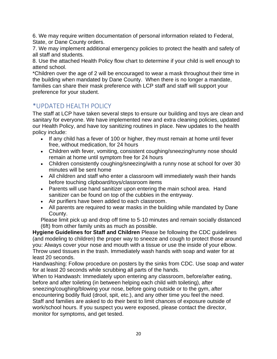6. We may require written documentation of personal information related to Federal, State, or Dane County orders.

7. We may implement additional emergency policies to protect the health and safety of all staff and students.

8. Use the attached Health Policy flow chart to determine if your child is well enough to attend school.

\*Children over the age of 2 will be encouraged to wear a mask throughout their time in the building when mandated by Dane County. When there is no longer a mandate, families can share their mask preference with LCP staff and staff will support your preference for your student.

# <span id="page-19-0"></span>\*UPDATED HEALTH POLICY

The staff at LCP have taken several steps to ensure our building and toys are clean and sanitary for everyone. We have implemented new and extra cleaning policies, updated our Health Policy, and have toy sanitizing routines in place. New updates to the health policy include:

- If any child has a fever of 100 or higher, they must remain at home until fever free, without medication, for 24 hours
- Children with fever, vomiting, consistent coughing/sneezing/runny nose should remain at home until symptom free for 24 hours
- Children consistently coughing/sneezing/with a runny nose at school for over 30 minutes will be sent home
- All children and staff who enter a classroom will immediately wash their hands before touching clipboard/toys/classroom items
- Parents will use hand sanitizer upon entering the main school area. Hand sanitizer can be found on top of the cubbies in the entryway.
- Air purifiers have been added to each classroom.
- All parents are required to wear masks in the building while mandated by Dane County.

Please limit pick up and drop off time to 5-10 minutes and remain socially distanced (6ft) from other family units as much as possible.

**Hygiene Guidelines for Staff and Children** Please be following the CDC guidelines (and modeling to children) the proper way to sneeze and cough to protect those around you: Always cover your nose and mouth with a tissue or use the inside of your elbow. Throw used tissues in the trash. Immediately wash hands with soap and water for at least 20 seconds.

Handwashing: Follow procedure on posters by the sinks from CDC. Use soap and water for at least 20 seconds while scrubbing all parts of the hands.

When to Handwash: Immediately upon entering any classroom, before/after eating, before and after toileting (in between helping each child with toileting), after sneezing/coughing/blowing your nose, before going outside or to the gym, after encountering bodily fluid (drool, spit, etc.), and any other time you feel the need. Staff and families are asked to do their best to limit chances of exposure outside of work/school hours. If you suspect you were exposed, please contact the director, monitor for symptoms, and get tested.